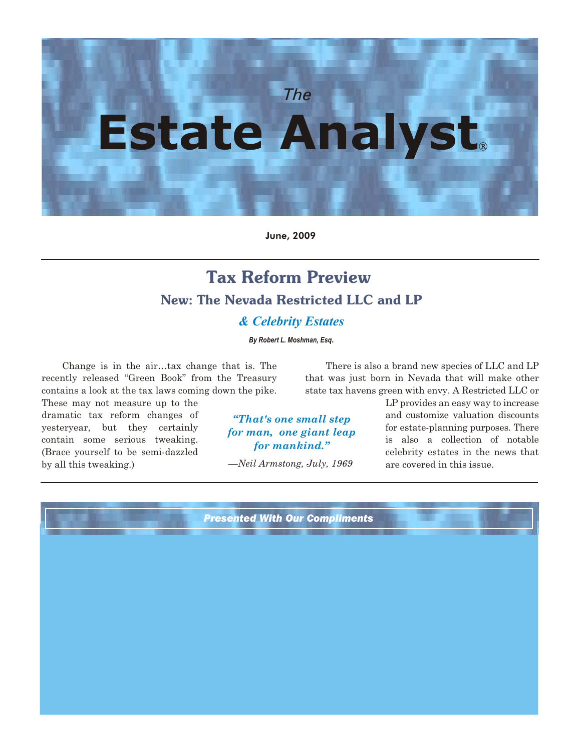

June, 2009

## **Tax Reform Preview New: The Nevada Restricted LLC and LP** *& Celebrity Estates*

*By Robert L. Moshman, Esq*.

Change is in the air…tax change that is. The recently released "Green Book" from the Treasury contains a look at the tax laws coming down the pike.

These may not measure up to the dramatic tax reform changes of yesteryear, but they certainly contain some serious tweaking. (Brace yourself to be semi-dazzled by all this tweaking.)

There is also a brand new species of LLC and LP that was just born in Nevada that will make other state tax havens green with envy. A Restricted LLC or

*"That's one small step for man, one giant leap for mankind."*

—*Neil Armstong, July, 1969* 

LP provides an easy way to increase and customize valuation discounts for estate-planning purposes. There is also a collection of notable celebrity estates in the news that are covered in this issue.

*Presented With Our Compliments*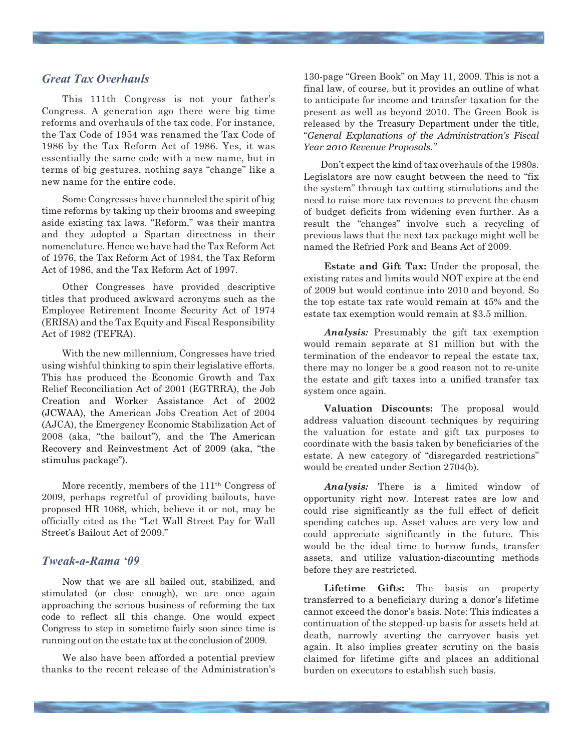#### *Great Tax Overhauls*

This 111th Congress is not your father's Congress. A generation ago there were big time reforms and overhauls of the tax code. For instance, the Tax Code of 1954 was renamed the Tax Code of 1986 by the Tax Reform Act of 1986. Yes, it was essentially the same code with a new name, but in terms of big gestures, nothing says "change" like a new name for the entire code.

Some Congresses have channeled the spirit of big time reforms by taking up their brooms and sweeping aside existing tax laws. "Reform," was their mantra and they adopted a Spartan directness in their nomenclature. Hence we have had the Tax Reform Act of 1976, the Tax Reform Act of 1984, the Tax Reform Act of 1986, and the Tax Reform Act of 1997.

Other Congresses have provided descriptive titles that produced awkward acronyms such as the Employee Retirement Income Security Act of 1974 (ERISA) and the Tax Equity and Fiscal Responsibility Act of 1982 (TEFRA).

With the new millennium, Congresses have tried using wishful thinking to spin their legislative efforts. This has produced the Economic Growth and Tax Relief Reconciliation Act of 2001 (EGTRRA), the Job Creation and Worker Assistance Act of 2002 (JCWAA), the American Jobs Creation Act of 2004 (AJCA), the Emergency Economic Stabilization Act of 2008 (aka, "the bailout"), and the The American Recovery and Reinvestment Act of 2009 (aka, "the stimulus package").

More recently, members of the 111<sup>th</sup> Congress of 2009, perhaps regretful of providing bailouts, have proposed HR 1068, which, believe it or not, may be officially cited as the "Let Wall Street Pay for Wall Street's Bailout Act of 2009."

#### *Tweak-a-Rama '09*

Now that we are all bailed out, stabilized, and stimulated (or close enough), we are once again approaching the serious business of reforming the tax code to reflect all this change. One would expect Congress to step in sometime fairly soon since time is running out on the estate tax at the conclusion of 2009.

We also have been afforded a potential preview thanks to the recent release of the Administration's 130-page "Green Book" on May 11, 2009. This is not a final law, of course, but it provides an outline of what to anticipate for income and transfer taxation for the present as well as beyond 2010. The Green Book is released by the Treasury Department under the title, "*General Explanations of the Administration's Fiscal Year 2010 Revenue Proposals."*

Don't expect the kind of tax overhauls of the 1980s. Legislators are now caught between the need to "fix the system" through tax cutting stimulations and the need to raise more tax revenues to prevent the chasm of budget deficits from widening even further. As a result the "changes" involve such a recycling of previous laws that the next tax package might well be named the Refried Pork and Beans Act of 2009.

**Estate and Gift Tax:** Under the proposal, the existing rates and limits would NOT expire at the end of 2009 but would continue into 2010 and beyond. So the top estate tax rate would remain at 45% and the estate tax exemption would remain at \$3.5 million.

*Analysis:* Presumably the gift tax exemption would remain separate at \$1 million but with the termination of the endeavor to repeal the estate tax, there may no longer be a good reason not to re-unite the estate and gift taxes into a unified transfer tax system once again.

**Valuation Discounts:** The proposal would address valuation discount techniques by requiring the valuation for estate and gift tax purposes to coordinate with the basis taken by beneficiaries of the estate. A new category of "disregarded restrictions" would be created under Section 2704(b).

*Analysis:* There is a limited window of opportunity right now. Interest rates are low and could rise significantly as the full effect of deficit spending catches up. Asset values are very low and could appreciate significantly in the future. This would be the ideal time to borrow funds, transfer assets, and utilize valuation-discounting methods before they are restricted.

**Lifetime Gifts:** The basis on property transferred to a beneficiary during a donor's lifetime cannot exceed the donor's basis. Note: This indicates a continuation of the stepped-up basis for assets held at death, narrowly averting the carryover basis yet again. It also implies greater scrutiny on the basis claimed for lifetime gifts and places an additional burden on executors to establish such basis.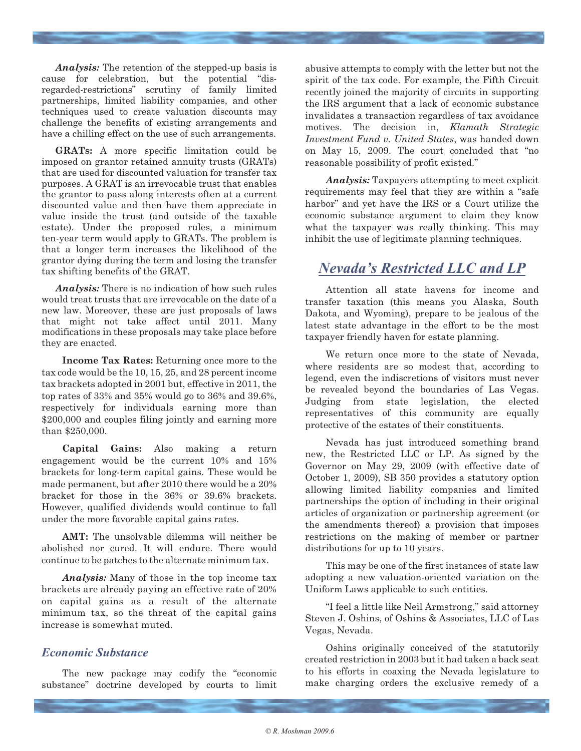*Analysis:* The retention of the stepped-up basis is cause for celebration, but the potential "disregarded-restrictions" scrutiny of family limited partnerships, limited liability companies, and other techniques used to create valuation discounts may challenge the benefits of existing arrangements and have a chilling effect on the use of such arrangements.

**GRATs:** A more specific limitation could be imposed on grantor retained annuity trusts (GRATs) that are used for discounted valuation for transfer tax purposes. A GRAT is an irrevocable trust that enables the grantor to pass along interests often at a current discounted value and then have them appreciate in value inside the trust (and outside of the taxable estate). Under the proposed rules, a minimum ten-year term would apply to GRATs. The problem is that a longer term increases the likelihood of the grantor dying during the term and losing the transfer tax shifting benefits of the GRAT.

*Analysis:* There is no indication of how such rules would treat trusts that are irrevocable on the date of a new law. Moreover, these are just proposals of laws that might not take affect until 2011. Many modifications in these proposals may take place before they are enacted.

**Income Tax Rates:** Returning once more to the tax code would be the 10, 15, 25, and 28 percent income tax brackets adopted in 2001 but, effective in 2011, the top rates of 33% and 35% would go to 36% and 39.6%, respectively for individuals earning more than \$200,000 and couples filing jointly and earning more than \$250,000.

**Capital Gains:** Also making a return engagement would be the current 10% and 15% brackets for long-term capital gains. These would be made permanent, but after 2010 there would be a 20% bracket for those in the 36% or 39.6% brackets. However, qualified dividends would continue to fall under the more favorable capital gains rates.

**AMT:** The unsolvable dilemma will neither be abolished nor cured. It will endure. There would continue to be patches to the alternate minimum tax.

*Analysis:* Many of those in the top income tax brackets are already paying an effective rate of 20% on capital gains as a result of the alternate minimum tax, so the threat of the capital gains increase is somewhat muted.

#### *Economic Substance*

The new package may codify the "economic substance" doctrine developed by courts to limit

abusive attempts to comply with the letter but not the spirit of the tax code. For example, the Fifth Circuit recently joined the majority of circuits in supporting the IRS argument that a lack of economic substance invalidates a transaction regardless of tax avoidance motives. The decision in, *Klamath Strategic Investment Fund v. United States*, was handed down on May 15, 2009. The court concluded that "no reasonable possibility of profit existed."

*Analysis:* Taxpayers attempting to meet explicit requirements may feel that they are within a "safe harbor" and yet have the IRS or a Court utilize the economic substance argument to claim they know what the taxpayer was really thinking. This may inhibit the use of legitimate planning techniques.

### *Nevada's Restricted LLC and LP*

Attention all state havens for income and transfer taxation (this means you Alaska, South Dakota, and Wyoming), prepare to be jealous of the latest state advantage in the effort to be the most taxpayer friendly haven for estate planning.

We return once more to the state of Nevada, where residents are so modest that, according to legend, even the indiscretions of visitors must never be revealed beyond the boundaries of Las Vegas. Judging from state legislation, the elected representatives of this community are equally protective of the estates of their constituents.

Nevada has just introduced something brand new, the Restricted LLC or LP. As signed by the Governor on May 29, 2009 (with effective date of October 1, 2009), SB 350 provides a statutory option allowing limited liability companies and limited partnerships the option of including in their original articles of organization or partnership agreement (or the amendments thereof) a provision that imposes restrictions on the making of member or partner distributions for up to 10 years.

This may be one of the first instances of state law adopting a new valuation-oriented variation on the Uniform Laws applicable to such entities.

"I feel a little like Neil Armstrong," said attorney Steven J. Oshins, of Oshins & Associates, LLC of Las Vegas, Nevada.

Oshins originally conceived of the statutorily created restriction in 2003 but it had taken a back seat to his efforts in coaxing the Nevada legislature to make charging orders the exclusive remedy of a